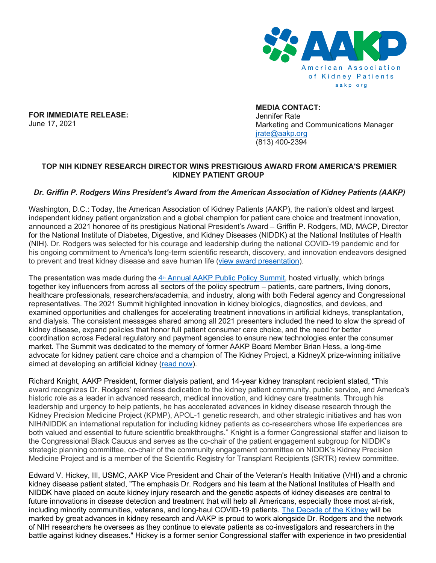

**FOR IMMEDIATE RELEASE:**  June 17, 2021

**MEDIA CONTACT:** Jennifer Rate Marketing and Communications Manager jrate@aakp.org (813) [400-2394](mailto:jrate@aakp.org)

## **TOP NIH KIDNEY RESEARCH DIRECTOR WINS PRESTIGIOUS AWARD FROM AMERICA'S PREMIER KIDNEY PATIENT GROUP**

## *Dr. Griffin P. Rodgers Wins President's Award from the American Association of Kidney Patients (AAKP)*

Washington, D.C.: Today, the American Association of Kidney Patients (AAKP), the nation's oldest and largest independent kidney patient organization and a global champion for patient care choice and treatment innovation, announced a 2021 honoree of its prestigious National President's Award – Griffin P. Rodgers, MD, MACP, Director for the National Institute of Diabetes, Digestive, and Kidney Diseases (NIDDK) at the National Institutes of Health (NIH). Dr. Rodgers was selected for his courage and leadership during the national COVID-19 pandemic and for his ongoing commitment to America's long-term scientific research, discovery, and innovation endeavors designed to prevent and treat kidney disease and save human life [\(view award presentation\)](https://youtu.be/Dd_rdbvfyoQ).

The presentation was made during the  $4<sup>th</sup>$  [Annual AAKP Public Policy Summit,](https://aakp.org/programs-and-events/public-policy-summit/) hosted virtually, which brings together key influencers from across all sectors of the policy spectrum – patients, care partners, living donors, healthcare professionals, researchers/academia, and industry, along with both Federal agency and Congressional representatives. The 2021 Summit highlighted innovation in kidney biologics, diagnostics, and devices, and examined opportunities and challenges for accelerating treatment innovations in artificial kidneys, transplantation, and dialysis. The consistent messages shared among all 2021 presenters included the need to slow the spread of kidney disease, expand policies that honor full patient consumer care choice, and the need for better coordination across Federal regulatory and payment agencies to ensure new technologies enter the consumer market. The Summit was dedicated to the memory of former AAKP Board Member Brian Hess, a long-time advocate for kidney patient care choice and a champion of The Kidney Project, a KidneyX prize-winning initiative aimed at developing an artificial kidney [\(read now\)](https://aakp.org/largest-kidney-patient-group-backs-artificial-kidney-development/).

Richard Knight, AAKP President, former dialysis patient, and 14-year kidney transplant recipient stated, "This award recognizes Dr. Rodgers' relentless dedication to the kidney patient community, public service, and America's historic role as a leader in advanced research, medical innovation, and kidney care treatments. Through his leadership and urgency to help patients, he has accelerated advances in kidney disease research through the Kidney Precision Medicine Project (KPMP), APOL-1 genetic research, and other strategic initiatives and has won NIH/NIDDK an international reputation for including kidney patients as co-researchers whose life experiences are both valued and essential to future scientific breakthroughs." Knight is a former Congressional staffer and liaison to the Congressional Black Caucus and serves as the co-chair of the patient engagement subgroup for NIDDK's strategic planning committee, co-chair of the community engagement committee on NIDDK's Kidney Precision Medicine Project and is a member of the Scientific Registry for Transplant Recipients (SRTR) review committee.

Edward V. Hickey, III, USMC, AAKP Vice President and Chair of the Veteran's Health Initiative (VHI) and a chronic kidney disease patient stated, "The emphasis Dr. Rodgers and his team at the National Institutes of Health and NIDDK have placed on acute kidney injury research and the genetic aspects of kidney diseases are central to future innovations in disease detection and treatment that will help all Americans, especially those most at-risk, including minority communities, veterans, and long-haul COVID-19 patients. [The Decade of the Kidney](https://aakp.org/center-for-patient-engagement-and-advocacy/decade-of-the-kidney/) will be marked by great advances in kidney research and AAKP is proud to work alongside Dr. Rodgers and the network of NIH researchers he oversees as they continue to elevate patients as co-investigators and researchers in the battle against kidney diseases." Hickey is a former senior Congressional staffer with experience in two presidential